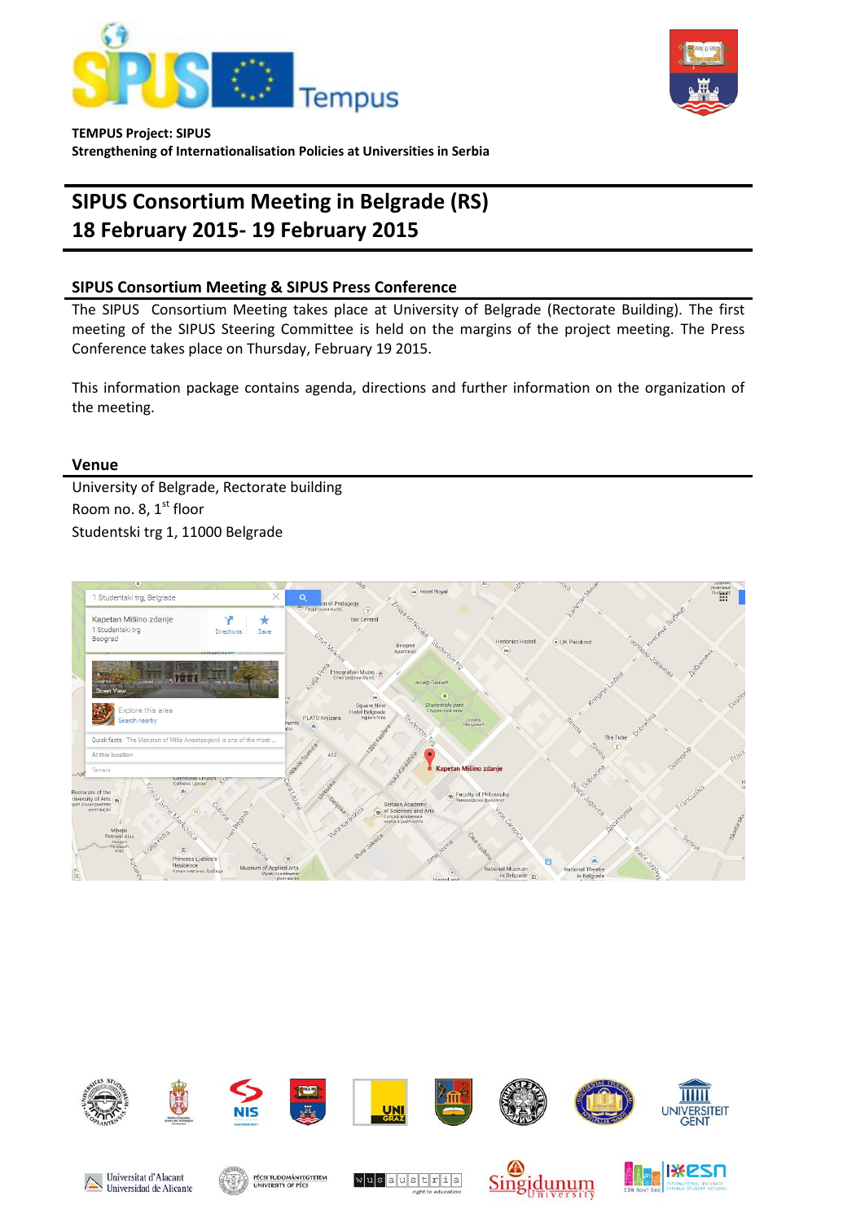



**TEMPUS Project: SIPUS**

**Strengthening of Internationalisation Policies at Universities in Serbia** 

# **SIPUS Consortium Meeting in Belgrade (RS) 18 February 2015- 19 February 2015**

# **SIPUS Consortium Meeting & SIPUS Press Conference**

The SIPUS Consortium Meeting takes place at University of Belgrade (Rectorate Building). The first meeting of the SIPUS Steering Committee is held on the margins of the project meeting. The Press Conference takes place on Thursday, February 19 2015.

This information package contains agenda, directions and further information on the organization of the meeting.

# **Venue**

University of Belgrade, Rectorate building Room no. 8,  $1<sup>st</sup>$  floor Studentski trg 1, 11000 Belgrade



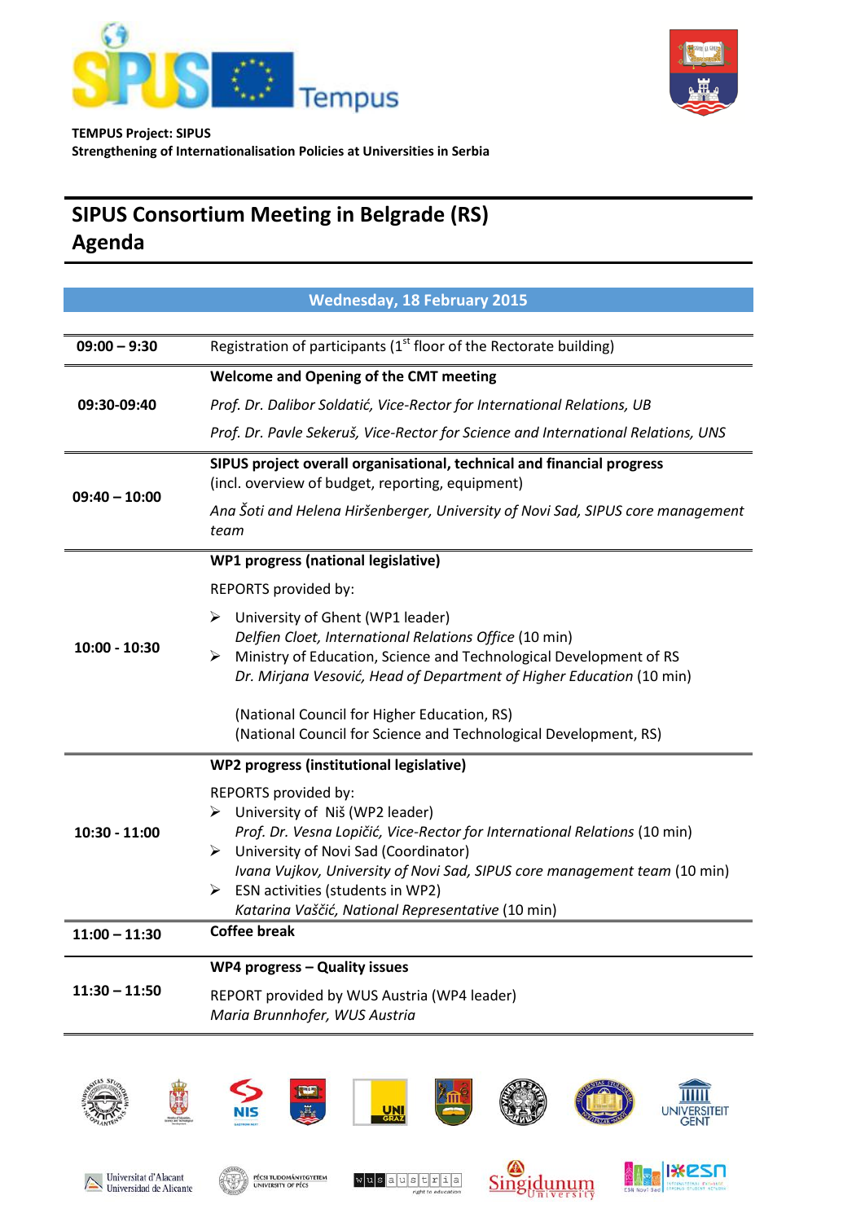



# **SIPUS Consortium Meeting in Belgrade (RS) Agenda**

|                 | <b>Wednesday, 18 February 2015</b>                                                                                                                                                                                                                                                                                                                               |
|-----------------|------------------------------------------------------------------------------------------------------------------------------------------------------------------------------------------------------------------------------------------------------------------------------------------------------------------------------------------------------------------|
|                 |                                                                                                                                                                                                                                                                                                                                                                  |
| $09:00 - 9:30$  | Registration of participants ( $1st$ floor of the Rectorate building)                                                                                                                                                                                                                                                                                            |
|                 | <b>Welcome and Opening of the CMT meeting</b>                                                                                                                                                                                                                                                                                                                    |
| 09:30-09:40     | Prof. Dr. Dalibor Soldatić, Vice-Rector for International Relations, UB                                                                                                                                                                                                                                                                                          |
|                 | Prof. Dr. Pavle Sekeruš, Vice-Rector for Science and International Relations, UNS                                                                                                                                                                                                                                                                                |
| $09:40 - 10:00$ | SIPUS project overall organisational, technical and financial progress<br>(incl. overview of budget, reporting, equipment)                                                                                                                                                                                                                                       |
|                 | Ana Šoti and Helena Hiršenberger, University of Novi Sad, SIPUS core management<br>team                                                                                                                                                                                                                                                                          |
|                 | WP1 progress (national legislative)                                                                                                                                                                                                                                                                                                                              |
|                 | REPORTS provided by:                                                                                                                                                                                                                                                                                                                                             |
| $10:00 - 10:30$ | University of Ghent (WP1 leader)<br>➤<br>Delfien Cloet, International Relations Office (10 min)<br>Ministry of Education, Science and Technological Development of RS<br>➤<br>Dr. Mirjana Vesović, Head of Department of Higher Education (10 min)                                                                                                               |
|                 | (National Council for Higher Education, RS)<br>(National Council for Science and Technological Development, RS)                                                                                                                                                                                                                                                  |
|                 | WP2 progress (institutional legislative)                                                                                                                                                                                                                                                                                                                         |
| 10:30 - 11:00   | REPORTS provided by:<br>University of Niš (WP2 leader)<br>➤<br>Prof. Dr. Vesna Lopičić, Vice-Rector for International Relations (10 min)<br>University of Novi Sad (Coordinator)<br>≻<br>Ivana Vujkov, University of Novi Sad, SIPUS core management team (10 min)<br>ESN activities (students in WP2)<br>➤<br>Katarina Vaščić, National Representative (10 min) |
| $11:00 - 11:30$ | <b>Coffee break</b>                                                                                                                                                                                                                                                                                                                                              |
| $11:30 - 11:50$ | <b>WP4 progress - Quality issues</b><br>REPORT provided by WUS Austria (WP4 leader)<br>Maria Brunnhofer, WUS Austria                                                                                                                                                                                                                                             |

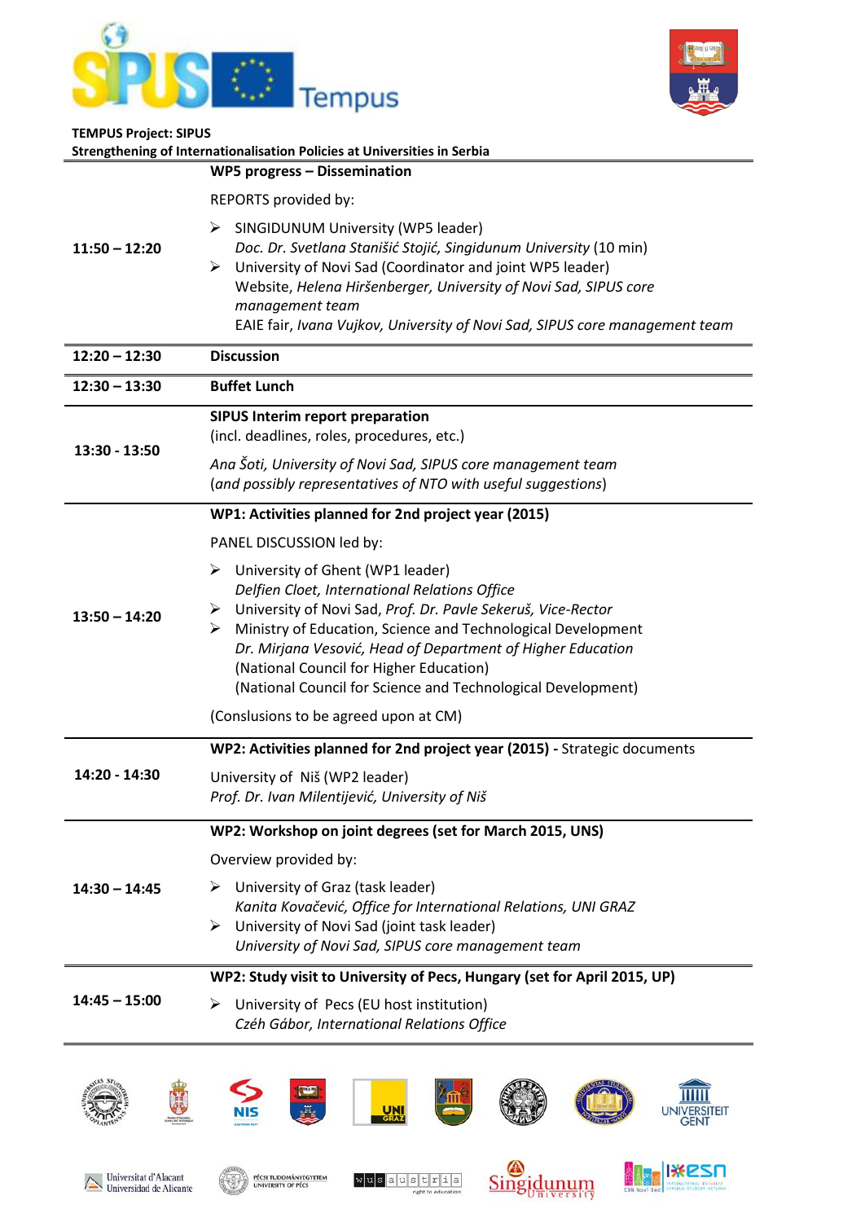



| <b>TEMPUS Project: SIPUS</b> | Strengthening of Internationalisation Policies at Universities in Serbia                                                                                                                                                                                                                                                                                                                                |
|------------------------------|---------------------------------------------------------------------------------------------------------------------------------------------------------------------------------------------------------------------------------------------------------------------------------------------------------------------------------------------------------------------------------------------------------|
| $11:50 - 12:20$              | <b>WP5 progress - Dissemination</b>                                                                                                                                                                                                                                                                                                                                                                     |
|                              | REPORTS provided by:                                                                                                                                                                                                                                                                                                                                                                                    |
|                              | SINGIDUNUM University (WP5 leader)<br>➤<br>Doc. Dr. Svetlana Stanišić Stojić, Singidunum University (10 min)<br>University of Novi Sad (Coordinator and joint WP5 leader)<br>➤<br>Website, Helena Hiršenberger, University of Novi Sad, SIPUS core<br>management team<br>EAIE fair, Ivana Vujkov, University of Novi Sad, SIPUS core management team                                                    |
| $12:20 - 12:30$              | <b>Discussion</b>                                                                                                                                                                                                                                                                                                                                                                                       |
| $12:30 - 13:30$              | <b>Buffet Lunch</b>                                                                                                                                                                                                                                                                                                                                                                                     |
| 13:30 - 13:50                | <b>SIPUS Interim report preparation</b><br>(incl. deadlines, roles, procedures, etc.)                                                                                                                                                                                                                                                                                                                   |
|                              | Ana Šoti, University of Novi Sad, SIPUS core management team<br>(and possibly representatives of NTO with useful suggestions)                                                                                                                                                                                                                                                                           |
|                              | WP1: Activities planned for 2nd project year (2015)                                                                                                                                                                                                                                                                                                                                                     |
|                              | PANEL DISCUSSION led by:                                                                                                                                                                                                                                                                                                                                                                                |
| $13:50 - 14:20$              | University of Ghent (WP1 leader)<br>➤<br>Delfien Cloet, International Relations Office<br>> University of Novi Sad, Prof. Dr. Pavle Sekeruš, Vice-Rector<br>Ministry of Education, Science and Technological Development<br>➤<br>Dr. Mirjana Vesović, Head of Department of Higher Education<br>(National Council for Higher Education)<br>(National Council for Science and Technological Development) |
|                              | (Conslusions to be agreed upon at CM)                                                                                                                                                                                                                                                                                                                                                                   |
|                              | WP2: Activities planned for 2nd project year (2015) - Strategic documents                                                                                                                                                                                                                                                                                                                               |
| 4:20                         | University of Niš (WP2 leader)<br>Prof. Dr. Ivan Milentijević, University of Niš                                                                                                                                                                                                                                                                                                                        |
|                              | WP2: Workshop on joint degrees (set for March 2015, UNS)                                                                                                                                                                                                                                                                                                                                                |
| $14:30 - 14:45$              | Overview provided by:                                                                                                                                                                                                                                                                                                                                                                                   |
|                              | University of Graz (task leader)<br>➤<br>Kanita Kovačević, Office for International Relations, UNI GRAZ<br>University of Novi Sad (joint task leader)<br>≻<br>University of Novi Sad, SIPUS core management team                                                                                                                                                                                        |
| $14:45 - 15:00$              | WP2: Study visit to University of Pecs, Hungary (set for April 2015, UP)                                                                                                                                                                                                                                                                                                                                |
|                              | University of Pecs (EU host institution)<br>⋗<br>Czéh Gábor, International Relations Office                                                                                                                                                                                                                                                                                                             |
|                              | UNI                                                                                                                                                                                                                                                                                                                                                                                                     |









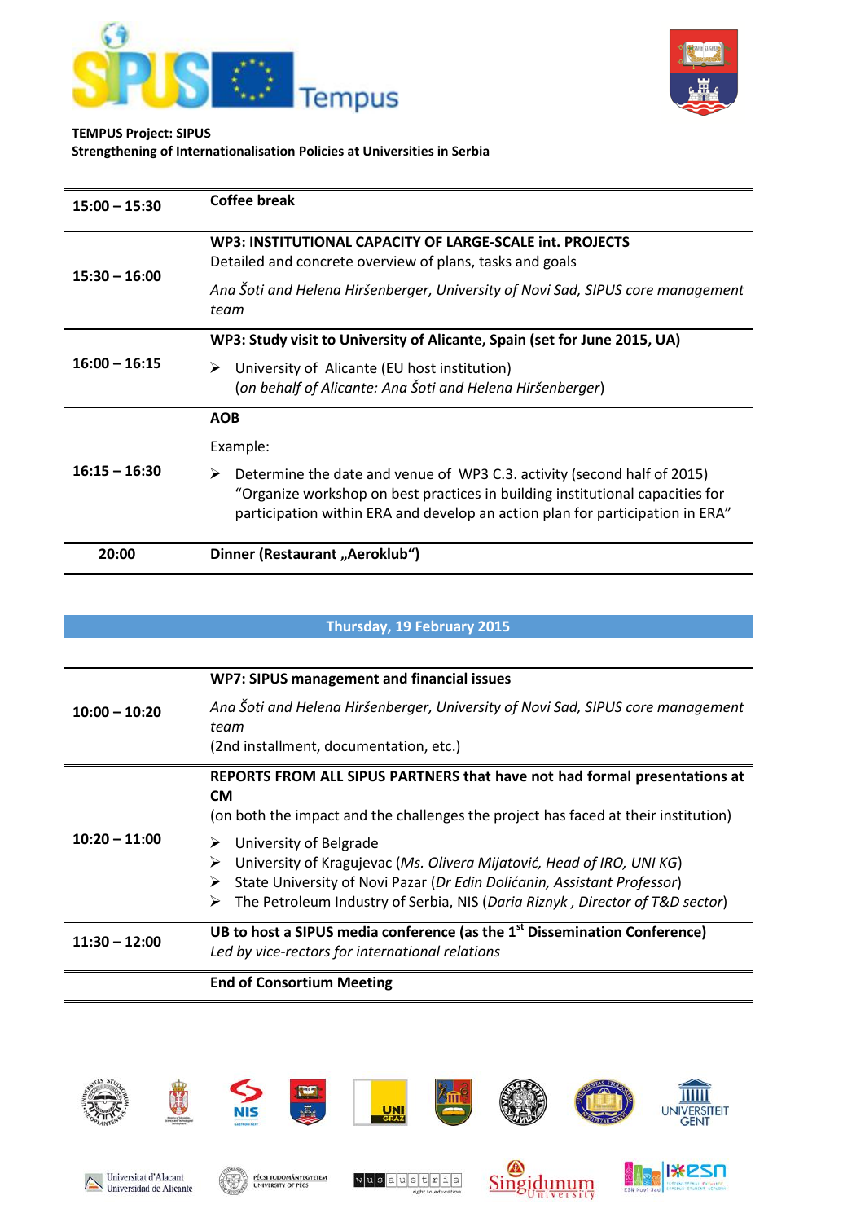



#### **TEMPUS Project: SIPUS**

**Strengthening of Internationalisation Policies at Universities in Serbia** 

| $15:00 - 15:30$ | Coffee break                                                                                                                                                                                                                                   |
|-----------------|------------------------------------------------------------------------------------------------------------------------------------------------------------------------------------------------------------------------------------------------|
| $15:30 - 16:00$ | WP3: INSTITUTIONAL CAPACITY OF LARGE-SCALE int. PROJECTS<br>Detailed and concrete overview of plans, tasks and goals                                                                                                                           |
|                 | Ana Soti and Helena Hiršenberger, University of Novi Sad, SIPUS core management<br>team                                                                                                                                                        |
| $16:00 - 16:15$ | WP3: Study visit to University of Alicante, Spain (set for June 2015, UA)                                                                                                                                                                      |
|                 | University of Alicante (EU host institution)<br>➤<br>(on behalf of Alicante: Ana Šoti and Helena Hiršenberger)                                                                                                                                 |
| $16:15 - 16:30$ | <b>AOB</b>                                                                                                                                                                                                                                     |
|                 | Example:                                                                                                                                                                                                                                       |
|                 | Determine the date and venue of WP3 C.3. activity (second half of 2015)<br>➤<br>"Organize workshop on best practices in building institutional capacities for<br>participation within ERA and develop an action plan for participation in ERA" |
| 20:00           | Dinner (Restaurant "Aeroklub")                                                                                                                                                                                                                 |

# **Thursday, 19 February 2015**

| $10:00 - 10:20$ | WP7: SIPUS management and financial issues                                                                                                                                                                                                                      |
|-----------------|-----------------------------------------------------------------------------------------------------------------------------------------------------------------------------------------------------------------------------------------------------------------|
|                 | Ana Šoti and Helena Hiršenberger, University of Novi Sad, SIPUS core management<br>team<br>(2nd installment, documentation, etc.)                                                                                                                               |
| $10:20 - 11:00$ | REPORTS FROM ALL SIPUS PARTNERS that have not had formal presentations at<br><b>CM</b><br>(on both the impact and the challenges the project has faced at their institution)                                                                                    |
|                 | University of Belgrade<br>University of Kragujevac (Ms. Olivera Mijatović, Head of IRO, UNI KG)<br>State University of Novi Pazar (Dr Edin Dolićanin, Assistant Professor)<br>The Petroleum Industry of Serbia, NIS (Daria Riznyk, Director of T&D sector)<br>➤ |
| $11:30 - 12:00$ | UB to host a SIPUS media conference (as the 1 <sup>st</sup> Dissemination Conference)<br>Led by vice-rectors for international relations                                                                                                                        |
|                 | <b>End of Consortium Meeting</b>                                                                                                                                                                                                                                |

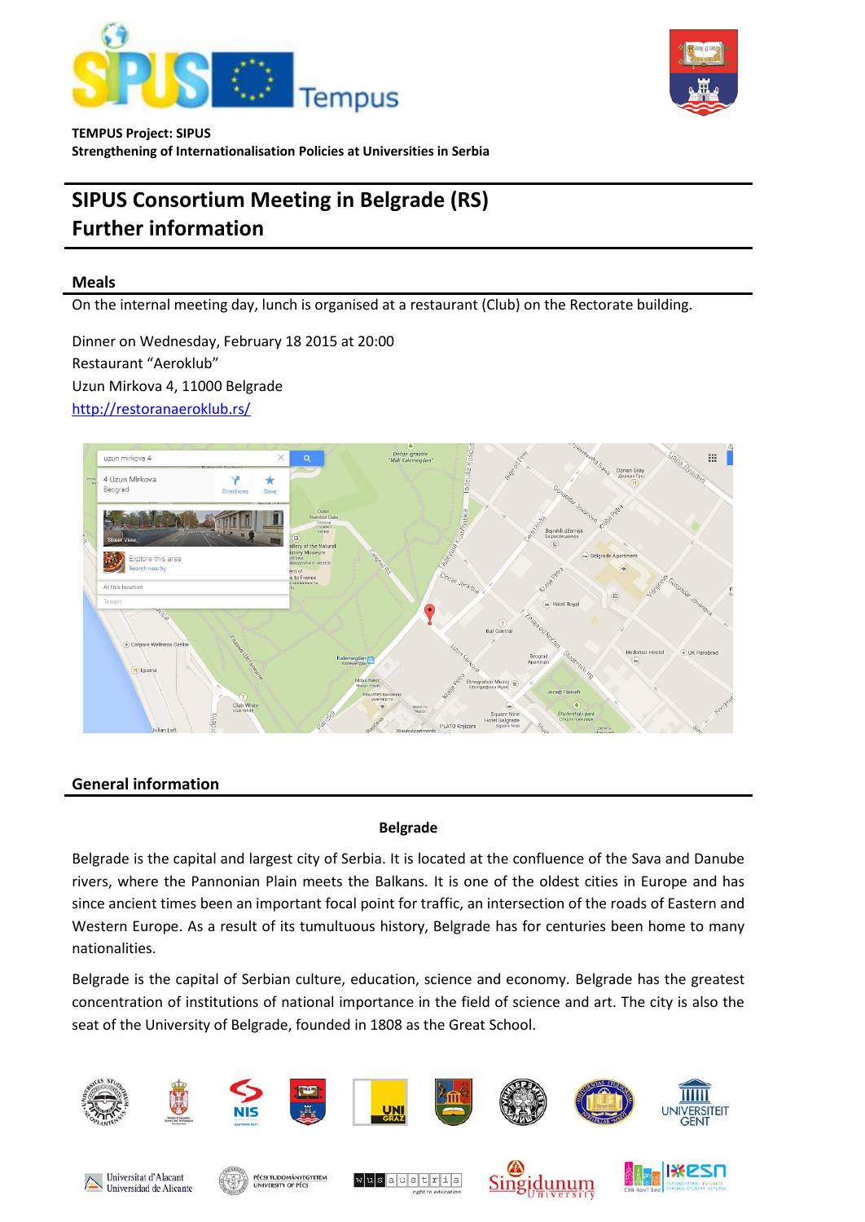



# **SIPUS Consortium Meeting in Belgrade (RS) Further information**

# **Meals**

On the internal meeting day, lunch is organised at a restaurant (Club) on the Rectorate building.

Dinner on Wednesday, February 18 2015 at 20:00 Restaurant "Aeroklub" Uzun Mirkova 4, 11000 Belgrade <http://restoranaeroklub.rs/>



# **General information**

#### **Belgrade**

Belgrade is the capital and largest city of Serbia. It is located at the confluence of the Sava and Danube rivers, where the Pannonian Plain meets the Balkans. It is one of the oldest cities in Europe and has since ancient times been an important focal point for traffic, an intersection of the roads of Eastern and Western Europe. As a result of its tumultuous history, Belgrade has for centuries been home to many nationalities.

Belgrade is the capital of Serbian culture, education, science and economy. Belgrade has the greatest concentration of institutions of national importance in the field of science and art. The city is also the seat of the University of Belgrade, founded in 1808 as the Great School.

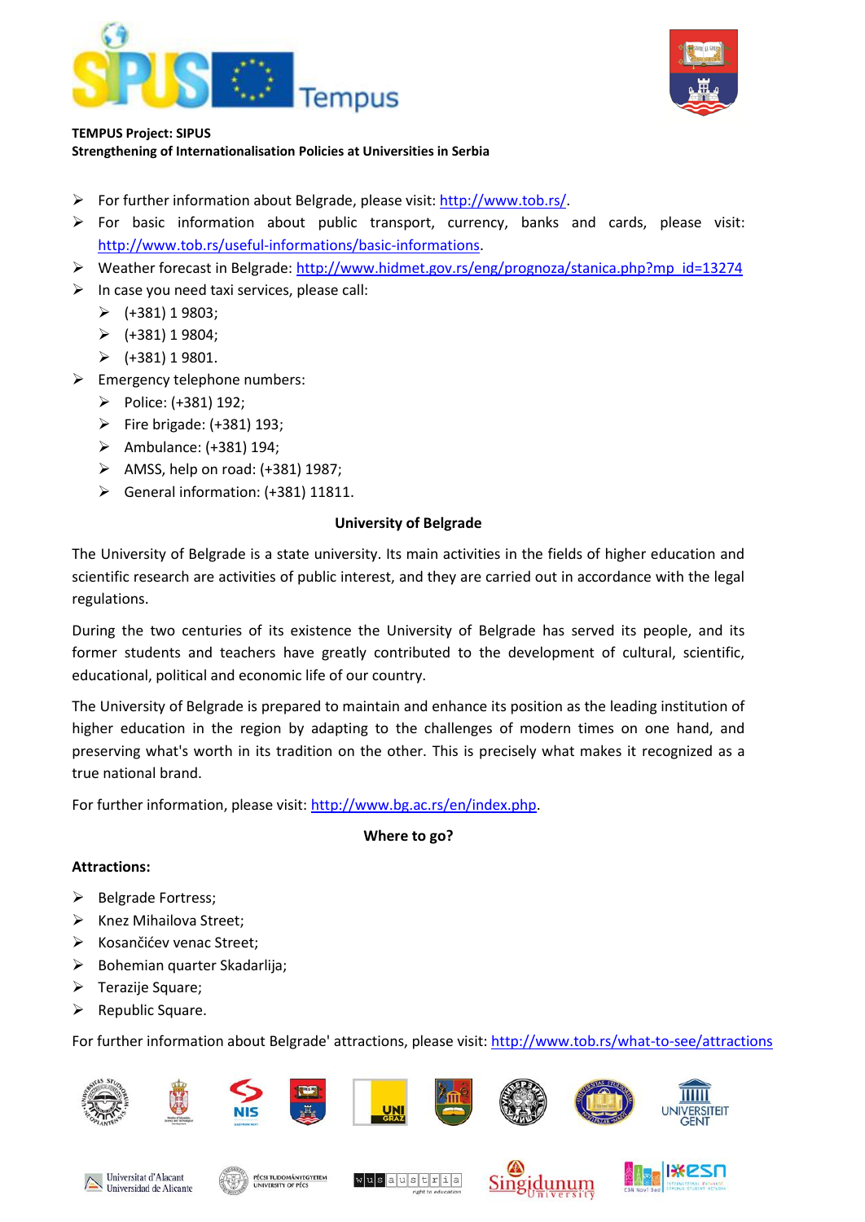



### **TEMPUS Project: SIPUS**

**Strengthening of Internationalisation Policies at Universities in Serbia** 

- For further information about Belgrade, please visit: [http://www.tob.rs/.](http://www.tob.rs/)
- $\triangleright$  For basic information about public transport, currency, banks and cards, please visit: [http://www.tob.rs/useful-informations/basic-informations.](http://www.tob.rs/useful-informations/basic-informations)
- Weather forecast in Belgrade: [http://www.hidmet.gov.rs/eng/prognoza/stanica.php?mp\\_id=13274](http://www.hidmet.gov.rs/eng/prognoza/stanica.php?mp_id=13274)
- $\triangleright$  In case you need taxi services, please call:
	- $\blacktriangleright$  (+381) 1 9803;
	- $\triangleright$  (+381) 1 9804;
	- $\triangleright$  (+381) 1 9801.
- $\triangleright$  Emergency telephone numbers:
	- Police: (+381) 192;
	- $\triangleright$  Fire brigade: (+381) 193;
	- $\triangleright$  Ambulance: (+381) 194;
	- $\triangleright$  AMSS, help on road: (+381) 1987;
	- General information: (+381) 11811.

# **University of Belgrade**

The University of Belgrade is a state university. Its main activities in the fields of higher education and scientific research are activities of public interest, and they are carried out in accordance with the legal regulations.

During the two centuries of its existence the University of Belgrade has served its people, and its former students and teachers have greatly contributed to the development of cultural, scientific, educational, political and economic life of our country.

The University of Belgrade is prepared to maintain and enhance its position as the leading institution of higher education in the region by adapting to the challenges of modern times on one hand, and preserving what's worth in its tradition on the other. This is precisely what makes it recognized as a true national brand.

For further information, please visit: [http://www.bg.ac.rs/en/index.php.](http://www.bg.ac.rs/en/index.php)

#### **Where to go?**

#### **Attractions:**

- $\triangleright$  Belgrade Fortress;
- $\triangleright$  Knez Mihailova Street;
- ▶ Kosančićev venac Street;
- $\triangleright$  Bohemian quarter Skadarlija;
- $\triangleright$  Terazije Square;
- $\triangleright$  Republic Square.

For further information about Belgrade' attractions, please visit:<http://www.tob.rs/what-to-see/attractions>

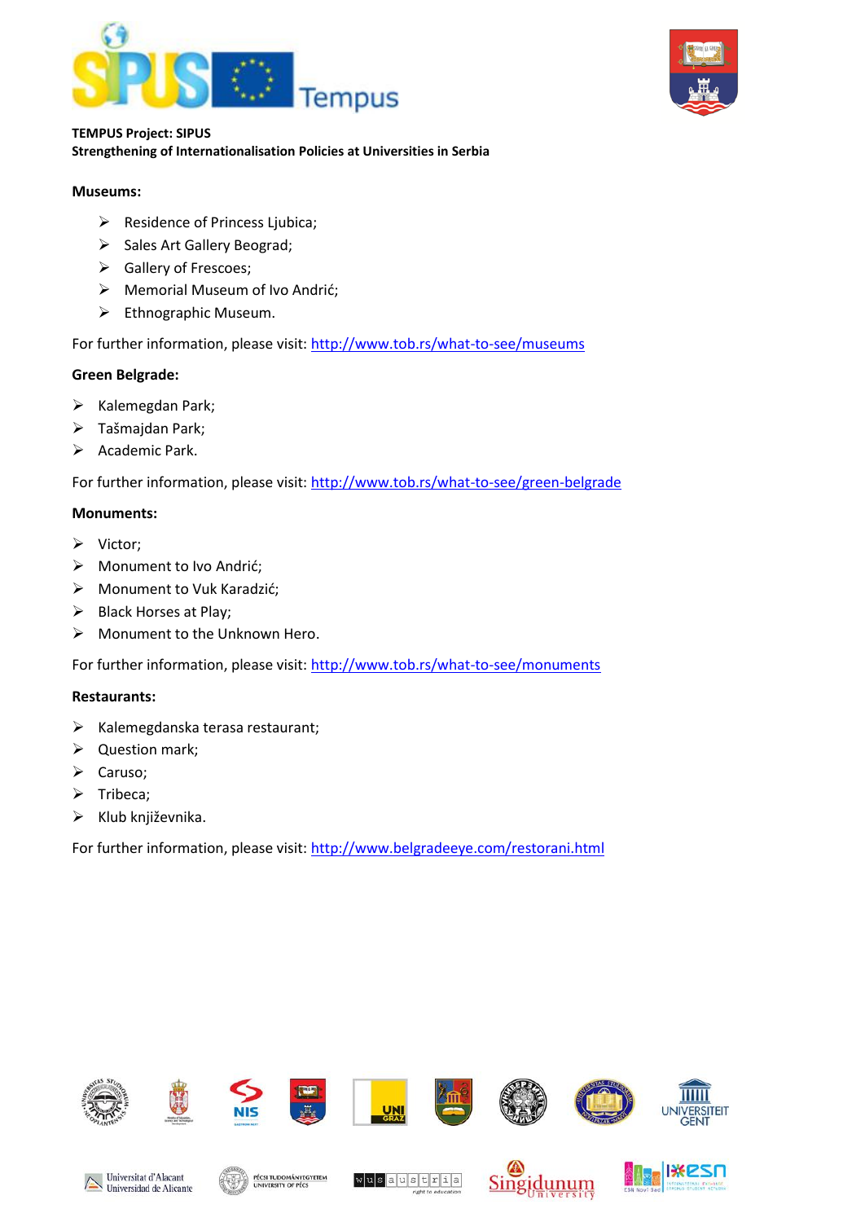



#### **Museums:**

- $\triangleright$  Residence of Princess Ljubica;
- > Sales Art Gallery Beograd;
- Gallery of Frescoes;
- Memorial Museum of Ivo Andrić;
- $\triangleright$  Ethnographic Museum.

For further information, please visit:<http://www.tob.rs/what-to-see/museums>

# **Green Belgrade:**

- $\triangleright$  Kalemegdan Park;
- Tašmajdan Park;
- $\triangleright$  Academic Park.

For further information, please visit:<http://www.tob.rs/what-to-see/green-belgrade>

# **Monuments:**

- $\triangleright$  Victor;
- ▶ Monument to Ivo Andrić;
- Monument to Vuk Karadzić;
- $\triangleright$  Black Horses at Play;
- > Monument to the Unknown Hero.

For further information, please visit:<http://www.tob.rs/what-to-see/monuments>

#### **Restaurants:**

- $\triangleright$  Kalemegdanska terasa restaurant;
- $\triangleright$  Question mark;
- $\triangleright$  Caruso;
- $\triangleright$  Tribeca;
- $\triangleright$  Klub književnika.

For further information, please visit:<http://www.belgradeeye.com/restorani.html>